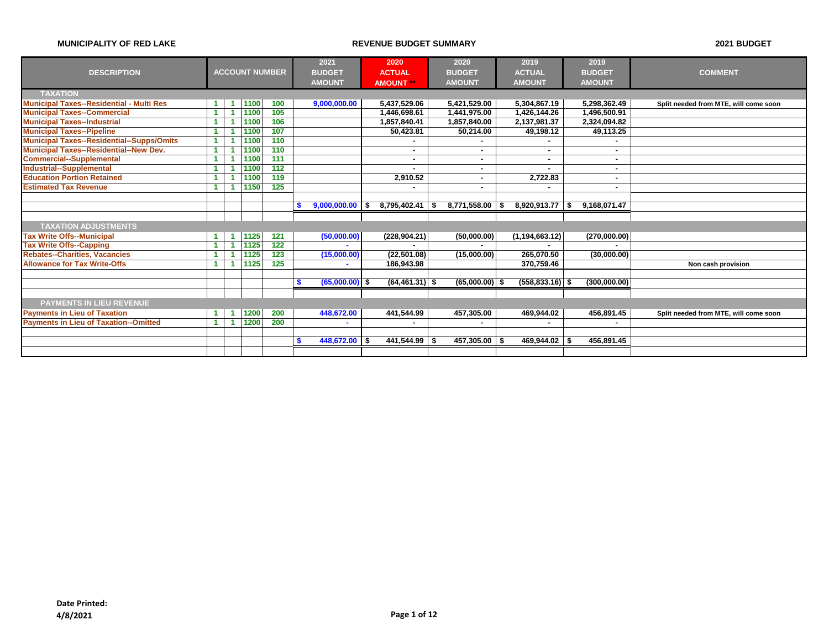|                                                  |                      |    |      |                       | 2021                  |    | 2020              | 2020                     | 2019               |    | 2019          |                                       |
|--------------------------------------------------|----------------------|----|------|-----------------------|-----------------------|----|-------------------|--------------------------|--------------------|----|---------------|---------------------------------------|
| <b>DESCRIPTION</b>                               |                      |    |      | <b>ACCOUNT NUMBER</b> | <b>BUDGET</b>         |    | <b>ACTUAL</b>     | <b>BUDGET</b>            | <b>ACTUAL</b>      |    | <b>BUDGET</b> | <b>COMMENT</b>                        |
|                                                  |                      |    |      |                       | <b>AMOUNT</b>         |    | <b>AMOUNT</b>     | <b>AMOUNT</b>            | <b>AMOUNT</b>      |    | <b>AMOUNT</b> |                                       |
| <b>TAXATION</b>                                  |                      |    |      |                       |                       |    |                   |                          |                    |    |               |                                       |
| <b>Municipal Taxes--Residential - Multi Res</b>  |                      | -1 | 1100 | 100                   | 9,000,000.00          |    | 5,437,529.06      | 5,421,529.00             | 5,304,867.19       |    | 5,298,362.49  | Split needed from MTE, will come soon |
| <b>Municipal Taxes--Commercial</b>               |                      | 1  | 1100 | 105                   |                       |    | 1,446,698.61      | 1,441,975.00             | 1,426,144.26       |    | 1,496,500.91  |                                       |
| <b>Municipal Taxes--Industrial</b>               |                      |    | 1100 | 106                   |                       |    | 1,857,840.41      | 1,857,840.00             | 2,137,981.37       |    | 2,324,094.82  |                                       |
| <b>Municipal Taxes--Pipeline</b>                 |                      |    | 1100 | 107                   |                       |    | 50,423.81         | 50,214.00                | 49,198.12          |    | 49,113.25     |                                       |
| <b>Municipal Taxes--Residential--Supps/Omits</b> |                      | -1 | 1100 | 110                   |                       |    |                   |                          |                    |    |               |                                       |
| <b>Municipal Taxes--Residential--New Dev.</b>    |                      |    | 1100 | 110                   |                       |    |                   | $\sim$                   | $\blacksquare$     |    | $\mathbf{r}$  |                                       |
| <b>Commercial--Supplemental</b>                  | 1                    |    | 1100 | 111                   |                       |    |                   | $\sim$                   | ٠                  |    |               |                                       |
| <b>Industrial--Supplemental</b>                  |                      |    | 1100 | $\overline{112}$      |                       |    |                   | $\overline{\phantom{a}}$ | $\blacksquare$     |    | ۰.            |                                       |
| <b>Education Portion Retained</b>                | -1                   |    | 1100 | 119                   |                       |    | 2,910.52          | ۰                        | 2,722.83           |    |               |                                       |
| <b>Estimated Tax Revenue</b>                     | $\blacktriangleleft$ |    | 1150 | 125                   |                       |    |                   | $\overline{\phantom{a}}$ |                    |    |               |                                       |
|                                                  |                      |    |      |                       |                       |    |                   |                          |                    |    |               |                                       |
|                                                  |                      |    |      |                       | 9,000,000.00          | s. | $8,795,402.41$ \$ | 8,771,558.00             | 8,920,913.77       | -5 | 9,168,071.47  |                                       |
|                                                  |                      |    |      |                       |                       |    |                   |                          |                    |    |               |                                       |
| <b>TAXATION ADJUSTMENTS</b>                      |                      |    |      |                       |                       |    |                   |                          |                    |    |               |                                       |
| <b>Tax Write Offs--Municipal</b>                 | $\blacktriangleleft$ | -1 | 1125 | 121                   | (50,000.00)           |    | (228, 904.21)     | (50,000.00)              | (1, 194, 663.12)   |    | (270,000.00)  |                                       |
| <b>Tax Write Offs--Capping</b>                   |                      | -1 | 1125 | $\overline{122}$      |                       |    |                   |                          |                    |    |               |                                       |
| <b>Rebates--Charities, Vacancies</b>             |                      |    | 1125 | 123                   | (15,000.00)           |    | (22, 501.08)      | (15,000.00)              | 265,070.50         |    | (30,000.00)   |                                       |
| <b>Allowance for Tax Write-Offs</b>              | -1                   |    | 1125 | 125                   | ۰                     |    | 186,943.98        |                          | 370,759.46         |    |               | Non cash provision                    |
|                                                  |                      |    |      |                       |                       |    |                   |                          |                    |    |               |                                       |
|                                                  |                      |    |      |                       | $(65,000.00)$ \$<br>S |    | $(64, 461.31)$ \$ | $(65,000.00)$ \$         | $(558, 833.16)$ \$ |    | (300,000.00)  |                                       |
|                                                  |                      |    |      |                       |                       |    |                   |                          |                    |    |               |                                       |
| <b>PAYMENTS IN LIEU REVENUE</b>                  |                      |    |      |                       |                       |    |                   |                          |                    |    |               |                                       |
| <b>Payments in Lieu of Taxation</b>              |                      |    | 1200 | 200                   | 448,672.00            |    | 441,544.99        | 457,305.00               | 469,944.02         |    | 456,891.45    | Split needed from MTE, will come soon |
| <b>Payments in Lieu of Taxation--Omitted</b>     | -1                   |    | 1200 | 200                   |                       |    |                   |                          |                    |    |               |                                       |
|                                                  |                      |    |      |                       |                       |    |                   |                          |                    |    |               |                                       |
|                                                  |                      |    |      |                       | 448,672.00            | S  | $441,544.99$ \$   | 457,305.00               | 469,944.02 \$      |    | 456,891.45    |                                       |
|                                                  |                      |    |      |                       |                       |    |                   |                          |                    |    |               |                                       |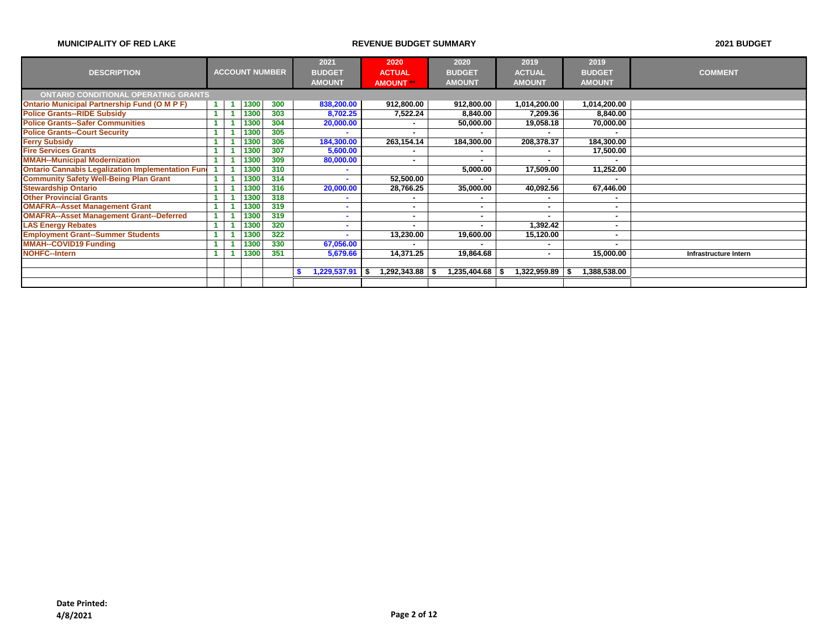|                                                          |  |                       |     | 2021          | 2020                     | 2020          | 2019           | 2019          |                              |
|----------------------------------------------------------|--|-----------------------|-----|---------------|--------------------------|---------------|----------------|---------------|------------------------------|
| <b>DESCRIPTION</b>                                       |  | <b>ACCOUNT NUMBER</b> |     | <b>BUDGET</b> | <b>ACTUAL</b>            | <b>BUDGET</b> | <b>ACTUAL</b>  | <b>BUDGET</b> | <b>COMMENT</b>               |
|                                                          |  |                       |     | <b>AMOUNT</b> | <b>AMOUNT</b> **         | <b>AMOUNT</b> | <b>AMOUNT</b>  | <b>AMOUNT</b> |                              |
| <b>ONTARIO CONDITIONAL OPERATING GRANTS</b>              |  |                       |     |               |                          |               |                |               |                              |
| <b>Ontario Municipal Partnership Fund (O M P F)</b>      |  | 1300                  | 300 | 838,200.00    | 912,800.00               | 912,800.00    | 1,014,200.00   | 1,014,200.00  |                              |
| <b>Police Grants--RIDE Subsidy</b>                       |  | 1300                  | 303 | 8,702.25      | 7,522.24                 | 8,840.00      | 7,209.36       | 8,840.00      |                              |
| <b>Police Grants--Safer Communities</b>                  |  | 1300                  | 304 | 20,000.00     |                          | 50,000.00     | 19,058.18      | 70,000.00     |                              |
| <b>Police Grants--Court Security</b>                     |  | 1300                  | 305 | ٠             | $\overline{\phantom{a}}$ |               | $\blacksquare$ |               |                              |
| <b>Ferry Subsidy</b>                                     |  | 1300                  | 306 | 184,300.00    | 263,154.14               | 184,300.00    | 208,378.37     | 184,300.00    |                              |
| <b>Fire Services Grants</b>                              |  | 1300                  | 307 | 5,600.00      |                          |               | ۰              | 17,500.00     |                              |
| <b>MMAH--Municipal Modernization</b>                     |  | 1300                  | 309 | 80,000.00     | $\overline{\phantom{a}}$ |               | ۰              |               |                              |
| <b>Ontario Cannabis Legalization Implementation Fund</b> |  | 1300                  | 310 | ۰             |                          | 5,000.00      | 17,509.00      | 11,252.00     |                              |
| <b>Community Safety Well-Being Plan Grant</b>            |  | 1300                  | 314 | ٠             | 52,500.00                |               |                |               |                              |
| <b>Stewardship Ontario</b>                               |  | 1300                  | 316 | 20,000.00     | 28,766.25                | 35,000.00     | 40,092.56      | 67,446.00     |                              |
| <b>Other Provincial Grants</b>                           |  | 1300                  | 318 |               |                          |               |                |               |                              |
| <b>OMAFRA--Asset Management Grant</b>                    |  | 1300                  | 319 | ۰             | $\overline{\phantom{a}}$ |               | $\blacksquare$ |               |                              |
| <b>OMAFRA--Asset Management Grant--Deferred</b>          |  | 1300                  | 319 |               |                          |               |                |               |                              |
| <b>LAS Energy Rebates</b>                                |  | 1300                  | 320 | ۰             |                          |               | 1,392.42       |               |                              |
| <b>Employment Grant--Summer Students</b>                 |  | 1300                  | 322 |               | 13,230.00                | 19,600.00     | 15,120.00      |               |                              |
| <b>MMAH--COVID19 Funding</b>                             |  | 1300                  | 330 | 67,056.00     |                          |               |                |               |                              |
| <b>NOHFC--Intern</b>                                     |  | 1300                  | 351 | 5,679.66      | 14,371.25                | 19,864.68     | $\blacksquare$ | 15,000.00     | <b>Infrastructure Intern</b> |
|                                                          |  |                       |     |               |                          |               |                |               |                              |
|                                                          |  |                       |     | 1,229,537.91  | 1,292,343.88 \$          | 1,235,404.68  | 1,322,959.89   | 1,388,538.00  |                              |
|                                                          |  |                       |     |               |                          |               |                |               |                              |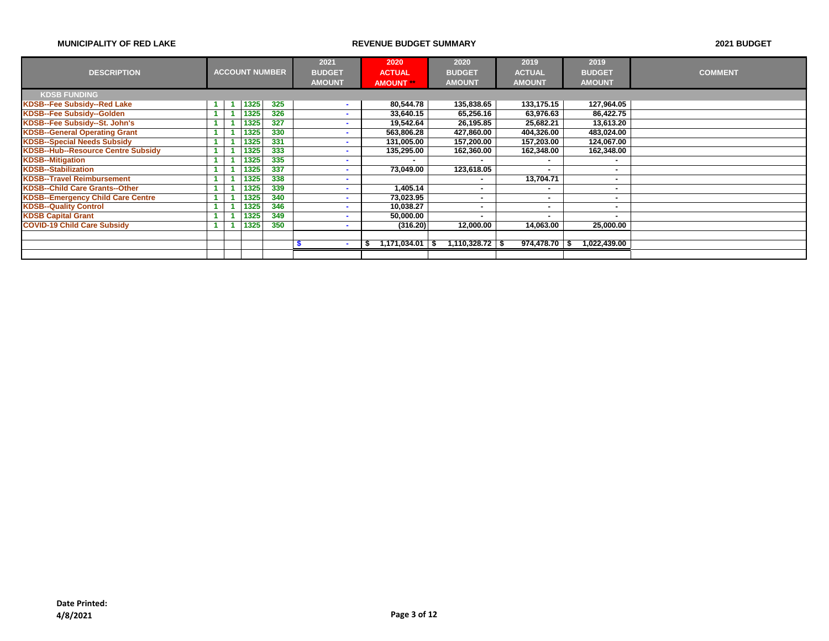|                                           |  |      |                       | 2021          | 2020          | 2020                   | 2019           | 2019          |                |
|-------------------------------------------|--|------|-----------------------|---------------|---------------|------------------------|----------------|---------------|----------------|
| <b>DESCRIPTION</b>                        |  |      | <b>ACCOUNT NUMBER</b> | <b>BUDGET</b> | <b>ACTUAL</b> | <b>BUDGET</b>          | <b>ACTUAL</b>  | <b>BUDGET</b> | <b>COMMENT</b> |
|                                           |  |      |                       | <b>AMOUNT</b> | <b>AMOUNT</b> | <b>AMOUNT</b>          | <b>AMOUNT</b>  | <b>AMOUNT</b> |                |
| <b>KDSB FUNDING</b>                       |  |      |                       |               |               |                        |                |               |                |
| <b>KDSB--Fee Subsidy--Red Lake</b>        |  | 1325 | 325                   | ۰             | 80,544.78     | 135,838.65             | 133,175.15     | 127,964.05    |                |
| KDSB--Fee Subsidy--Golden                 |  | 1325 | 326                   | ۰             | 33,640.15     | 65,256.16              | 63,976.63      | 86,422.75     |                |
| KDSB--Fee Subsidy--St. John's             |  | 1325 | 327                   | ۰             | 19,542.64     | 26,195.85              | 25,682.21      | 13,613.20     |                |
| <b>KDSB--General Operating Grant</b>      |  | 1325 | 330                   | ٠             | 563,806.28    | 427,860.00             | 404,326.00     | 483,024.00    |                |
| <b>KDSB--Special Needs Subsidy</b>        |  | 1325 | 331                   | ۰             | 131,005.00    | 157,200.00             | 157,203.00     | 124,067.00    |                |
| <b>KDSB--Hub--Resource Centre Subsidy</b> |  | 1325 | 333                   |               | 135,295.00    | 162,360.00             | 162,348.00     | 162,348.00    |                |
| <b>KDSB--Mitigation</b>                   |  | 1325 | 335                   | ۰             |               |                        | $\blacksquare$ | . .           |                |
| <b>KDSB--Stabilization</b>                |  | 1325 | 337                   | ۰.            | 73,049.00     | 123,618.05             | $\blacksquare$ |               |                |
| <b>KDSB--Travel Reimbursement</b>         |  | 1325 | 338                   | ۰             |               |                        | 13,704.71      |               |                |
| <b>KDSB--Child Care Grants--Other</b>     |  | 1325 | 339                   | ۰             | 1,405.14      |                        | ٠              |               |                |
| <b>KDSB--Emergency Child Care Centre</b>  |  | 1325 | 340                   | ۰             | 73.023.95     | ۰.                     | $\blacksquare$ |               |                |
| <b>KDSB--Quality Control</b>              |  | 1325 | 346                   | ۰             | 10,038.27     |                        | $\blacksquare$ |               |                |
| <b>KDSB Capital Grant</b>                 |  | 1325 | 349                   | ۰             | 50,000.00     |                        |                |               |                |
| <b>COVID-19 Child Care Subsidy</b>        |  | 1325 | 350                   | ۰             | (316.20)      | 12,000.00              | 14,063.00      | 25,000.00     |                |
|                                           |  |      |                       |               |               |                        |                |               |                |
|                                           |  |      |                       | ۰             | 1,171,034.01  | $1,110,328.72$ \$<br>S | 974,478.70     | 1,022,439.00  |                |
|                                           |  |      |                       |               |               |                        |                |               |                |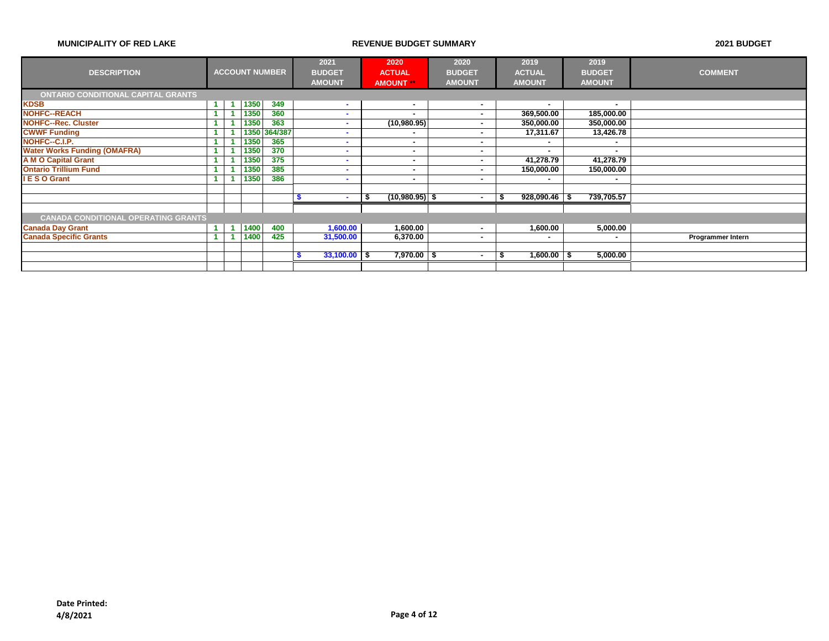|                                            |  |      |                       | 2021          |                | 2020                     | 2020          | 2019            | 2019          |                          |
|--------------------------------------------|--|------|-----------------------|---------------|----------------|--------------------------|---------------|-----------------|---------------|--------------------------|
| <b>DESCRIPTION</b>                         |  |      | <b>ACCOUNT NUMBER</b> | <b>BUDGET</b> |                | <b>ACTUAL</b>            | <b>BUDGET</b> | <b>ACTUAL</b>   | <b>BUDGET</b> | <b>COMMENT</b>           |
|                                            |  |      |                       | <b>AMOUNT</b> |                | <b>AMOUNT</b>            | <b>AMOUNT</b> | <b>AMOUNT</b>   | <b>AMOUNT</b> |                          |
| <b>ONTARIO CONDITIONAL CAPITAL GRANTS</b>  |  |      |                       |               |                |                          |               |                 |               |                          |
| <b>KDSB</b>                                |  | 1350 | 349                   |               | <b>COL</b>     | $\overline{\phantom{a}}$ | ۰             | $\blacksquare$  |               |                          |
| <b>NOHFC--REACH</b>                        |  | 1350 | 360                   |               | ۰              |                          | ۰             | 369,500.00      | 185,000.00    |                          |
| <b>NOHFC--Rec. Cluster</b>                 |  | 1350 | 363                   |               | ۰              | (10,980.95)              |               | 350,000.00      | 350,000.00    |                          |
| <b>CWWF Funding</b>                        |  | 1350 | 364/387               |               | ۰              |                          | ۰             | 17,311.67       | 13,426.78     |                          |
| NOHFC--C.I.P.                              |  | 1350 | 365                   |               | ۰              |                          | ۰             | ۰               |               |                          |
| <b>Water Works Funding (OMAFRA)</b>        |  | 1350 | 370                   |               | ۰              |                          | ۰             |                 |               |                          |
| <b>A M O Capital Grant</b>                 |  | 1350 | 375                   |               | ۰              |                          |               | 41,278.79       | 41,278.79     |                          |
| <b>Ontario Trillium Fund</b>               |  | 1350 | 385                   |               | ۰              |                          | ۰             | 150,000.00      | 150,000.00    |                          |
| I E S O Grant                              |  | 1350 | 386                   |               | ۰              |                          | ۰             | ۰.              |               |                          |
|                                            |  |      |                       |               |                |                          |               |                 |               |                          |
|                                            |  |      |                       |               |                | $(10,980.95)$ \$<br>\$   |               | $928,090.46$ \$ | 739,705.57    |                          |
|                                            |  |      |                       |               |                |                          |               |                 |               |                          |
| <b>CANADA CONDITIONAL OPERATING GRANTS</b> |  |      |                       |               |                |                          |               |                 |               |                          |
| <b>Canada Day Grant</b>                    |  | 1400 | 400                   |               | 1,600.00       | 1,600.00                 |               | 1,600.00        | 5,000.00      |                          |
| <b>Canada Specific Grants</b>              |  | 1400 | 425                   |               | 31,500.00      | 6,370.00                 | ۰             |                 |               | <b>Programmer Intern</b> |
|                                            |  |      |                       |               |                |                          |               |                 |               |                          |
|                                            |  |      |                       |               | $33,100.00$ \$ | $7,970.00$ \$            |               | $1,600.00$ \$   | 5,000.00      |                          |
|                                            |  |      |                       |               |                |                          |               |                 |               |                          |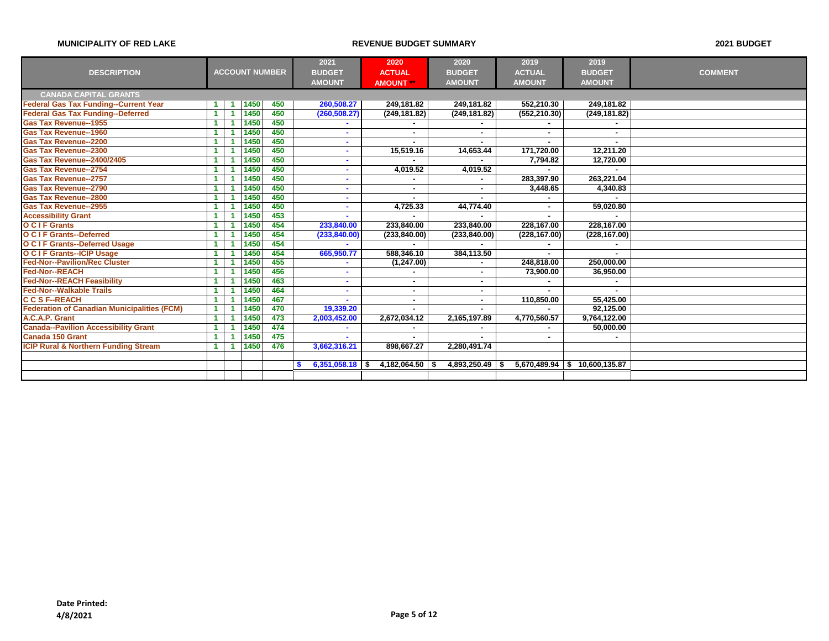|                                                    |                       |      |     | 2021              | 2020              | 2020              | 2019           | 2019                          |                |
|----------------------------------------------------|-----------------------|------|-----|-------------------|-------------------|-------------------|----------------|-------------------------------|----------------|
| <b>DESCRIPTION</b>                                 | <b>ACCOUNT NUMBER</b> |      |     | <b>BUDGET</b>     | <b>ACTUAL</b>     | <b>BUDGET</b>     | <b>ACTUAL</b>  | <b>BUDGET</b>                 | <b>COMMENT</b> |
|                                                    |                       |      |     | <b>AMOUNT</b>     | <b>AMOUNT</b>     | <b>AMOUNT</b>     | <b>AMOUNT</b>  | <b>AMOUNT</b>                 |                |
| <b>CANADA CAPITAL GRANTS</b>                       |                       |      |     |                   |                   |                   |                |                               |                |
| <b>Federal Gas Tax Funding--Current Year</b>       |                       | 1450 | 450 | 260,508.27        | 249,181.82        | 249,181.82        | 552,210.30     | 249,181.82                    |                |
| <b>Federal Gas Tax Funding--Deferred</b>           |                       | 1450 | 450 | (260, 508.27)     | (249, 181.82)     | (249, 181.82)     | (552, 210.30)  | (249, 181.82)                 |                |
| <b>Gas Tax Revenue--1955</b>                       |                       | 1450 | 450 |                   |                   |                   |                |                               |                |
| <b>Gas Tax Revenue--1960</b>                       |                       | 1450 | 450 |                   |                   |                   |                |                               |                |
| <b>Gas Tax Revenue--2200</b>                       |                       | 1450 | 450 |                   |                   |                   |                |                               |                |
| <b>Gas Tax Revenue--2300</b>                       |                       | 1450 | 450 | ÷.                | 15,519.16         | 14,653.44         | 171,720.00     | 12,211.20                     |                |
| <b>Gas Tax Revenue--2400/2405</b>                  |                       | 1450 | 450 | ٠                 |                   |                   | 7,794.82       | 12,720.00                     |                |
| <b>Gas Tax Revenue--2754</b>                       |                       | 1450 | 450 |                   | 4,019.52          | 4,019.52          |                |                               |                |
| <b>Gas Tax Revenue--2757</b>                       |                       | 1450 | 450 | $\sim$            |                   | ۰                 | 283,397.90     | 263,221.04                    |                |
| <b>Gas Tax Revenue--2790</b>                       |                       | 1450 | 450 |                   |                   | ۰                 | 3,448.65       | 4,340.83                      |                |
| <b>Gas Tax Revenue--2800</b>                       |                       | 1450 | 450 |                   |                   |                   |                |                               |                |
| <b>Gas Tax Revenue--2955</b>                       |                       | 1450 | 450 | ۰.                | 4,725.33          | 44,774.40         | $\blacksquare$ | 59,020.80                     |                |
| <b>Accessibility Grant</b>                         |                       | 1450 | 453 | $\sim$            |                   |                   |                |                               |                |
| <b>O C I F Grants</b>                              |                       | 1450 | 454 | 233,840.00        | 233,840.00        | 233,840.00        | 228,167.00     | 228,167.00                    |                |
| <b>O C I F Grants--Deferred</b>                    |                       | 1450 | 454 | (233, 840.00)     | (233, 840.00)     | (233, 840.00)     | (228, 167.00)  | (228, 167.00)                 |                |
| <b>O C I F Grants--Deferred Usage</b>              |                       | 1450 | 454 |                   |                   |                   |                |                               |                |
| <b>O C I F Grants--ICIP Usage</b>                  |                       | 1450 | 454 | 665,950.77        | 588,346.10        | 384,113.50        |                |                               |                |
| <b>Fed-Nor--Pavilion/Rec Cluster</b>               |                       | 1450 | 455 |                   | (1, 247.00)       |                   | 248,818.00     | 250.000.00                    |                |
| <b>Fed-Nor--REACH</b>                              |                       | 1450 | 456 | ۰.                |                   | ٠.                | 73,900.00      | 36,950.00                     |                |
| <b>Fed-Nor--REACH Feasibility</b>                  |                       | 1450 | 463 | ٠                 |                   | ۰.                |                |                               |                |
| <b>Fed-Nor--Walkable Trails</b>                    |                       | 1450 | 464 | ٠                 | ٠                 | ۰                 |                |                               |                |
| <b>C C S F--REACH</b>                              |                       | 1450 | 467 |                   |                   | ۰                 | 110,850.00     | 55,425.00                     |                |
| <b>Federation of Canadian Municipalities (FCM)</b> |                       | 1450 | 470 | 19,339.20         |                   |                   |                | 92,125.00                     |                |
| A.C.A.P. Grant                                     |                       | 1450 | 473 | 2,003,452.00      | 2,672,034.12      | 2,165,197.89      | 4,770,560.57   | 9,764,122.00                  |                |
| <b>Canada--Pavilion Accessibility Grant</b>        |                       | 1450 | 474 |                   |                   |                   |                | 50,000.00                     |                |
| <b>Canada 150 Grant</b>                            |                       | 1450 | 475 | ÷                 |                   |                   |                |                               |                |
| <b>ICIP Rural &amp; Northern Funding Stream</b>    |                       | 1450 | 476 | 3,662,316.21      | 898,667.27        | 2,280,491.74      |                |                               |                |
|                                                    |                       |      |     |                   |                   |                   |                |                               |                |
|                                                    |                       |      |     | $6,351,058.18$ \$ | $4,182,064.50$ \$ | $4,893,250.49$ \$ |                | 5,670,489.94 \$ 10,600,135.87 |                |
|                                                    |                       |      |     |                   |                   |                   |                |                               |                |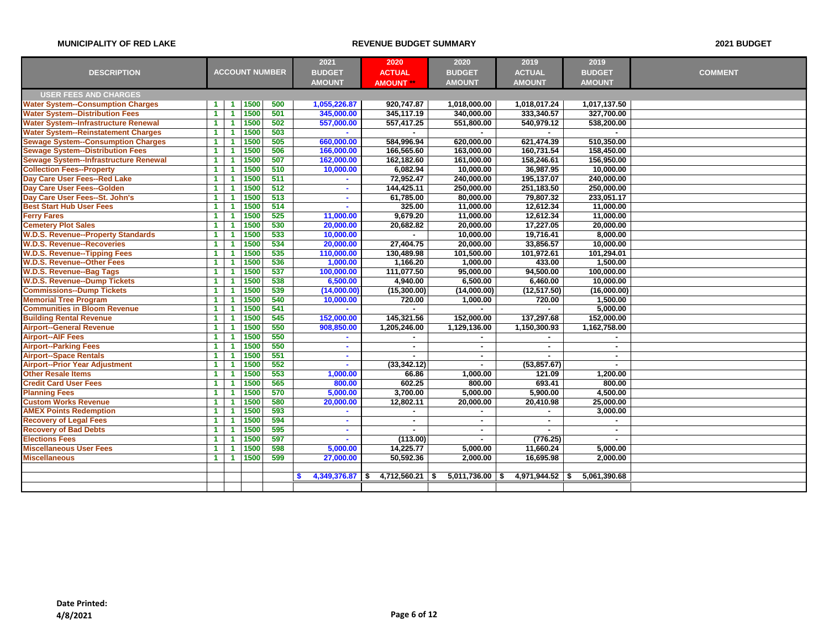|                                              |                      |                      |      |                       | 2021                        | 2020              | 2020                     | 2019                 | 2019          |                |
|----------------------------------------------|----------------------|----------------------|------|-----------------------|-----------------------------|-------------------|--------------------------|----------------------|---------------|----------------|
| <b>DESCRIPTION</b>                           |                      |                      |      | <b>ACCOUNT NUMBER</b> | <b>BUDGET</b>               | <b>ACTUAL</b>     | <b>BUDGET</b>            | <b>ACTUAL</b>        | <b>BUDGET</b> | <b>COMMENT</b> |
|                                              |                      |                      |      |                       | <b>AMOUNT</b>               | <b>AMOUNT</b>     | <b>AMOUNT</b>            | <b>AMOUNT</b>        | <b>AMOUNT</b> |                |
| <b>USER FEES AND CHARGES</b>                 |                      |                      |      |                       |                             |                   |                          |                      |               |                |
| <b>Water System--Consumption Charges</b>     | $\blacktriangleleft$ | $\blacktriangleleft$ | 1500 | 500                   | 1,055,226.87                | 920,747.87        | 1,018,000.00             | 1,018,017.24         | 1,017,137.50  |                |
| <b>Water System--Distribution Fees</b>       | $\blacktriangleleft$ | $\blacktriangleleft$ | 1500 | 501                   | 345,000.00                  | 345,117.19        | 340,000.00               | 333,340.57           | 327,700.00    |                |
| <b>Water System--Infrastructure Renewal</b>  | $\blacktriangleleft$ | $\blacktriangleleft$ | 1500 | 502                   | 557,000.00                  | 557,417.25        | 551,800.00               | 540,979.12           | 538,200.00    |                |
| <b>Water System--Reinstatement Charges</b>   | $\blacktriangleleft$ | $\blacktriangleleft$ | 1500 | 503                   | $\sim$                      |                   |                          |                      |               |                |
| <b>Sewage System--Consumption Charges</b>    | $\blacktriangleleft$ | -1                   | 1500 | 505                   | 660,000.00                  | 584,996.94        | 620,000.00               | 621,474.39           | 510,350.00    |                |
| <b>Sewage System--Distribution Fees</b>      | 1                    | -1                   | 1500 | 506                   | 166,000.00                  | 166,565.60        | 163,000.00               | 160,731.54           | 158,450.00    |                |
| <b>Sewage System--Infrastructure Renewal</b> | $\blacktriangleleft$ | -1                   | 1500 | 507                   | 162,000.00                  | 162,182.60        | 161,000.00               | 158,246.61           | 156,950.00    |                |
| <b>Collection Fees--Property</b>             | $\blacktriangleleft$ | -1                   | 1500 | 510                   | 10,000.00                   | 6,082.94          | 10,000.00                | 36,987.95            | 10,000.00     |                |
| Day Care User Fees--Red Lake                 | $\blacktriangleleft$ | $\blacktriangleleft$ | 1500 | 511                   |                             | 72,952.47         | 240,000.00               | 195,137.07           | 240,000.00    |                |
| Day Care User Fees--Golden                   | $\blacktriangleleft$ | $\blacktriangleleft$ | 1500 | 512                   | $\sim$                      | 144,425.11        | 250,000.00               | 251,183.50           | 250,000.00    |                |
| Day Care User Fees--St. John's               | $\blacktriangleleft$ | $\blacktriangleleft$ | 1500 | 513                   | $\sim$                      | 61,785.00         | 80,000.00                | 79,807.32            | 233,051.17    |                |
| <b>Best Start Hub User Fees</b>              | $\blacktriangleleft$ | 1                    | 1500 | 514                   | $\sim$                      | 325.00            | 11,000.00                | 12,612.34            | 11,000.00     |                |
| <b>Ferry Fares</b>                           | $\overline{1}$       | $\blacktriangleleft$ | 1500 | 525                   | 11,000.00                   | 9,679.20          | 11,000.00                | 12,612.34            | 11,000.00     |                |
| <b>Cemetery Plot Sales</b>                   | $\mathbf{1}$         | $\blacktriangleleft$ | 1500 | 530                   | 20,000.00                   | 20,682.82         | 20,000.00                | 17,227.05            | 20,000.00     |                |
| <b>W.D.S. Revenue--Property Standards</b>    | $\blacktriangleleft$ | $\blacktriangleleft$ | 1500 | 533                   | 10,000.00                   | $\sim$            | 10,000.00                | 19,716.41            | 8,000.00      |                |
| <b>W.D.S. Revenue--Recoveries</b>            | $\blacktriangleleft$ | $\blacktriangleleft$ | 1500 | 534                   | 20,000.00                   | 27,404.75         | 20,000.00                | 33,856.57            | 10,000.00     |                |
| <b>W.D.S. Revenue--Tipping Fees</b>          | $\blacktriangleleft$ | 1                    | 1500 | 535                   | 110,000.00                  | 130,489.98        | 101,500.00               | 101,972.61           | 101,294.01    |                |
| <b>W.D.S. Revenue--Other Fees</b>            | $\blacktriangleleft$ | 1                    | 1500 | 536                   | 1,000.00                    | 1,166.20          | 1,000.00                 | 433.00               | 1,500.00      |                |
| <b>W.D.S. Revenue--Bag Tags</b>              | $\blacktriangleleft$ | -1                   | 1500 | 537                   | 100,000.00                  | 111,077.50        | 95,000.00                | 94,500.00            | 100,000.00    |                |
| <b>W.D.S. Revenue--Dump Tickets</b>          | $\overline{1}$       | $\blacktriangleleft$ | 1500 | 538                   | 6,500.00                    | 4,940.00          | 6,500.00                 | 6,460.00             | 10,000.00     |                |
| <b>Commissions--Dump Tickets</b>             | $\blacktriangleleft$ | $\blacktriangleleft$ | 1500 | 539                   | (14,000.00)                 | (15,300.00)       | (14,000.00)              | (12, 517.50)         | (16,000.00)   |                |
| <b>Memorial Tree Program</b>                 | 1                    | 1                    | 1500 | 540                   | 10,000.00                   | 720.00            | 1,000.00                 | 720.00               | 1,500.00      |                |
| <b>Communities in Bloom Revenue</b>          | $\overline{1}$       | -1                   | 1500 | 541                   | $\mathcal{L}_{\mathcal{A}}$ |                   |                          |                      | 5,000.00      |                |
| <b>Building Rental Revenue</b>               | $\blacktriangleleft$ | -1                   | 1500 | 545                   | 152,000.00                  | 145,321.56        | 152,000.00               | 137,297.68           | 152,000.00    |                |
| <b>Airport--General Revenue</b>              | $\blacktriangleleft$ | $\blacktriangleleft$ | 1500 | 550                   | 908,850.00                  | 1,205,246.00      | 1,129,136.00             | 1,150,300.93         | 1,162,758.00  |                |
| <b>Airport--AIF Fees</b>                     | $\blacktriangleleft$ | $\blacktriangleleft$ | 1500 | 550                   | $\sim$                      |                   |                          |                      |               |                |
| <b>Airport--Parking Fees</b>                 | $\blacktriangleleft$ | -1                   | 1500 | 550                   | $\sim$                      |                   | ٠                        | $\blacksquare$       | $\sim$        |                |
| <b>Airport--Space Rentals</b>                | $\blacktriangleleft$ | $\blacktriangleleft$ | 1500 | 551                   | $\sim$                      |                   | $\sim$                   |                      | $\sim$        |                |
| <b>Airport--Prior Year Adjustment</b>        | $\blacktriangleleft$ | -1                   | 1500 | 552                   | $\sim$                      | (33,342.12)       | $\sim$                   | (53, 857.67)         | $\sim$        |                |
| <b>Other Resale Items</b>                    | $\blacktriangleleft$ | $\blacktriangleleft$ | 1500 | 553                   | 1,000.00                    | 66.86             | 1,000.00                 | 121.09               | 1,200.00      |                |
| <b>Credit Card User Fees</b>                 | $\blacktriangleleft$ | 1                    | 1500 | 565                   | 800.00                      | 602.25            | 800.00                   | 693.41               | 800.00        |                |
| <b>Planning Fees</b>                         | $\overline{1}$       | $\blacktriangleleft$ | 1500 | 570                   | 5,000.00                    | 3,700.00          | 5,000.00                 | 5,900.00             | 4,500.00      |                |
| <b>Custom Works Revenue</b>                  | $\mathbf{1}$         | $\blacktriangleleft$ | 1500 | 580                   | 20,000.00                   | 12,802.11         | 20,000.00                | 20,410.98            | 25,000.00     |                |
| <b>AMEX Points Redemption</b>                | $\blacktriangleleft$ | $\blacktriangleleft$ | 1500 | 593                   | ÷                           |                   | $\overline{\phantom{a}}$ |                      | 3,000.00      |                |
| <b>Recovery of Legal Fees</b>                | $\blacktriangleleft$ | $\blacktriangleleft$ | 1500 | 594                   | $\sim$                      | $\sim$            | $\sim$                   | ä,                   |               |                |
| <b>Recovery of Bad Debts</b>                 | $\blacktriangleleft$ | 1                    | 1500 | 595                   | $\sim$                      |                   | $\blacksquare$           |                      |               |                |
| <b>Elections Fees</b>                        | $\blacktriangleleft$ | 1                    | 1500 | 597                   | $\sim$                      | (113.00)          | $\sim$                   | (776.25)             |               |                |
| <b>Miscellaneous User Fees</b>               | $\blacktriangleleft$ | $\blacktriangleleft$ | 1500 | 598                   | 5,000.00                    | 14,225.77         | 5,000.00                 | 11,660.24            | 5,000.00      |                |
| <b>Miscellaneous</b>                         | $\blacktriangleleft$ | $\blacktriangleleft$ | 1500 | 599                   | 27,000.00                   | 50,592.36         | 2,000.00                 | 16,695.98            | 2,000.00      |                |
|                                              |                      |                      |      |                       |                             |                   |                          |                      |               |                |
|                                              |                      |                      |      |                       | $4,349,376.87$ \$           | $4,712,560.21$ \$ | 5,011,736.00             | 4.971.944.52<br>- \$ | 5,061,390.68  |                |
|                                              |                      |                      |      |                       |                             |                   |                          |                      |               |                |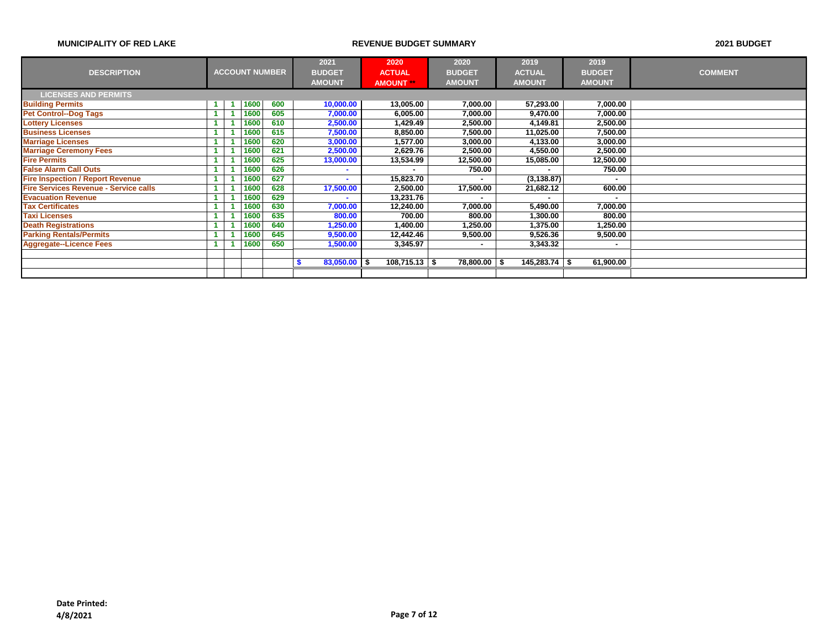|                                              |      |                       | 2021             | 2020            | 2020          | 2019            | 2019          |                |
|----------------------------------------------|------|-----------------------|------------------|-----------------|---------------|-----------------|---------------|----------------|
| <b>DESCRIPTION</b>                           |      | <b>ACCOUNT NUMBER</b> | <b>BUDGET</b>    | <b>ACTUAL</b>   | <b>BUDGET</b> | <b>ACTUAL</b>   | <b>BUDGET</b> | <b>COMMENT</b> |
|                                              |      |                       | <b>AMOUNT</b>    | <b>AMOUNT</b>   | <b>AMOUNT</b> | <b>AMOUNT</b>   | <b>AMOUNT</b> |                |
| <b>LICENSES AND PERMITS</b>                  |      |                       |                  |                 |               |                 |               |                |
| <b>Building Permits</b>                      | 1600 | 600                   | 10,000.00        | 13,005.00       | 7,000.00      | 57,293.00       | 7,000.00      |                |
| <b>Pet Control--Dog Tags</b>                 | 1600 | 605                   | 7,000.00         | 6,005.00        | 7,000.00      | 9,470.00        | 7,000.00      |                |
| <b>Lottery Licenses</b>                      | 1600 | 610                   | 2,500.00         | 1,429.49        | 2,500.00      | 4,149.81        | 2,500.00      |                |
| <b>Business Licenses</b>                     | 1600 | 615                   | 7,500.00         | 8,850.00        | 7,500.00      | 11,025.00       | 7,500.00      |                |
| <b>Marriage Licenses</b>                     | 1600 | 620                   | 3,000.00         | 1,577.00        | 3,000.00      | 4,133.00        | 3,000.00      |                |
| <b>Marriage Ceremony Fees</b>                | 1600 | 621                   | 2,500.00         | 2,629.76        | 2,500.00      | 4,550.00        | 2,500.00      |                |
| <b>Fire Permits</b>                          | 1600 | 625                   | 13,000.00        | 13,534.99       | 12,500.00     | 15,085.00       | 12,500.00     |                |
| <b>False Alarm Call Outs</b>                 | 1600 | 626                   | ۰                |                 | 750.00        | ٠               | 750.00        |                |
| <b>Fire Inspection / Report Revenue</b>      | 1600 | 627                   | ۰                | 15,823.70       |               | (3, 138.87)     |               |                |
| <b>Fire Services Revenue - Service calls</b> | 1600 | 628                   | 17,500.00        | 2,500.00        | 17,500.00     | 21,682.12       | 600.00        |                |
| <b>Evacuation Revenue</b>                    | 1600 | 629                   |                  | 13,231.76       |               | ۰               |               |                |
| <b>Tax Certificates</b>                      | 1600 | 630                   | 7,000.00         | 12,240.00       | 7,000.00      | 5,490.00        | 7,000.00      |                |
| <b>Taxi Licenses</b>                         | 1600 | 635                   | 800.00           | 700.00          | 800.00        | 1,300.00        | 800.00        |                |
| <b>Death Registrations</b>                   | 1600 | 640                   | 1,250.00         | 1,400.00        | 1,250.00      | 1,375.00        | 1,250.00      |                |
| <b>Parking Rentals/Permits</b>               | 1600 | 645                   | 9,500.00         | 12,442.46       | 9,500.00      | 9,526.36        | 9,500.00      |                |
| <b>Aggregate--Licence Fees</b>               | 1600 | 650                   | 1,500.00         | 3,345.97        |               | 3,343.32        |               |                |
|                                              |      |                       |                  |                 |               |                 |               |                |
|                                              |      |                       | $83,050.00$ \ \$ | $108,715.13$ \$ | 78,800.00 \$  | $145,283.74$ \$ | 61,900.00     |                |
|                                              |      |                       |                  |                 |               |                 |               |                |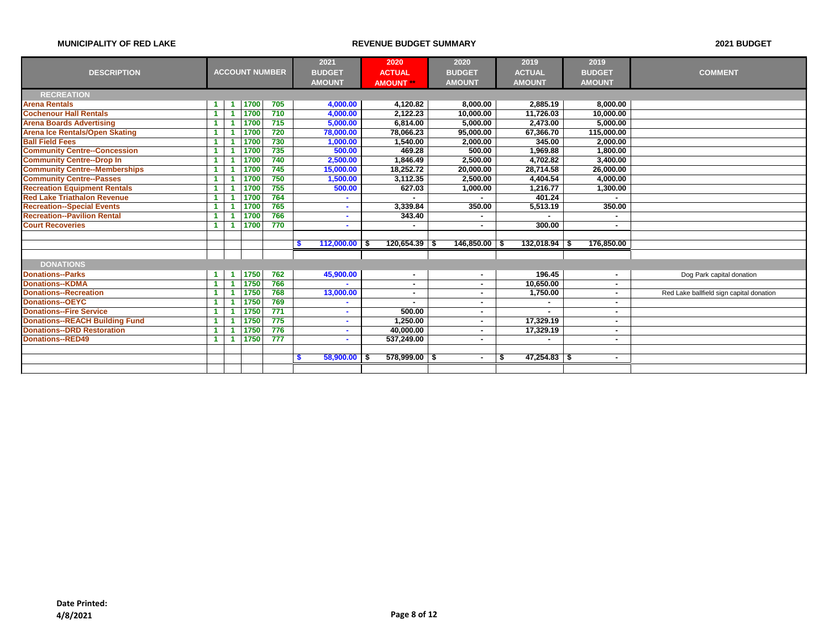|                                       |                      |      |                       | 2021            | 2020                   | 2020          | 2019                 | 2019                     |                                          |
|---------------------------------------|----------------------|------|-----------------------|-----------------|------------------------|---------------|----------------------|--------------------------|------------------------------------------|
| <b>DESCRIPTION</b>                    |                      |      | <b>ACCOUNT NUMBER</b> | <b>BUDGET</b>   | <b>ACTUAL</b>          | <b>BUDGET</b> | <b>ACTUAL</b>        | <b>BUDGET</b>            | <b>COMMENT</b>                           |
|                                       |                      |      |                       | <b>AMOUNT</b>   |                        | <b>AMOUNT</b> | <b>AMOUNT</b>        | <b>AMOUNT</b>            |                                          |
|                                       |                      |      |                       |                 | <b>AMOUNT</b> **       |               |                      |                          |                                          |
| <b>RECREATION</b>                     |                      |      |                       |                 |                        |               |                      |                          |                                          |
| <b>Arena Rentals</b>                  |                      | 1700 | 705                   | 4,000.00        | 4,120.82               | 8,000.00      | 2,885.19             | 8,000.00                 |                                          |
| <b>Cochenour Hall Rentals</b>         |                      | 1700 | 710                   | 4,000.00        | 2.122.23               | 10,000.00     | 11,726.03            | 10.000.00                |                                          |
| <b>Arena Boards Advertising</b>       |                      | 1700 | 715                   | 5,000.00        | 6,814.00               | 5,000.00      | 2,473.00             | 5,000.00                 |                                          |
| <b>Arena Ice Rentals/Open Skating</b> |                      | 1700 | 720                   | 78,000.00       | 78.066.23              | 95,000.00     | 67,366.70            | 115,000.00               |                                          |
| <b>Ball Field Fees</b>                |                      | 1700 | 730                   | 1,000.00        | 1,540.00               | 2,000.00      | 345.00               | 2.000.00                 |                                          |
| <b>Community Centre--Concession</b>   |                      | 1700 | 735                   | 500.00          | 469.28                 | 500.00        | 1,969.88             | 1.800.00                 |                                          |
| <b>Community Centre--Drop In</b>      | 1                    | 1700 | 740                   | 2,500.00        | 1,846.49               | 2,500.00      | 4,702.82             | 3,400.00                 |                                          |
| <b>Community Centre--Memberships</b>  | -1                   | 1700 | 745                   | 15,000.00       | 18.252.72              | 20,000.00     | 28,714.58            | 26.000.00                |                                          |
| <b>Community Centre--Passes</b>       | 1                    | 1700 | 750                   | 1,500.00        | 3.112.35               | 2,500.00      | 4,404.54             | 4.000.00                 |                                          |
| <b>Recreation Equipment Rentals</b>   | -1                   | 1700 | 755                   | 500.00          | 627.03                 | 1,000.00      | 1,216.77             | 1,300.00                 |                                          |
| <b>Red Lake Triathalon Revenue</b>    |                      | 1700 | 764                   |                 |                        |               | 401.24               |                          |                                          |
| <b>Recreation--Special Events</b>     |                      | 1700 | 765                   |                 | 3,339.84               | 350.00        | 5,513.19             | 350.00                   |                                          |
| <b>Recreation--Pavilion Rental</b>    |                      | 1700 | 766                   |                 | 343.40                 |               |                      |                          |                                          |
| <b>Court Recoveries</b>               |                      | 1700 | 770                   |                 | ٠                      |               | 300.00               | $\overline{\phantom{a}}$ |                                          |
|                                       |                      |      |                       |                 |                        |               |                      |                          |                                          |
|                                       |                      |      |                       | 112,000.00<br>S | $120,654.39$ \$        | 146,850.00    | 132,018.94           | 176,850.00               |                                          |
|                                       |                      |      |                       |                 |                        |               |                      |                          |                                          |
| <b>DONATIONS</b>                      |                      |      |                       |                 |                        |               |                      |                          |                                          |
| <b>Donations--Parks</b>               | $\blacktriangleleft$ | 1750 | 762                   | 45,900.00       | ٠                      |               | 196.45               |                          | Dog Park capital donation                |
| <b>Donations--KDMA</b>                |                      | 1750 | 766                   |                 | ٠                      |               | 10,650.00            |                          |                                          |
| <b>Donations--Recreation</b>          | 1                    | 1750 | 768                   | 13,000.00       | ٠                      |               | 1.750.00             | $\sim$                   | Red Lake ballfield sign capital donation |
| <b>Donations--OEYC</b>                | -1                   | 1750 | 769                   |                 | ٠                      |               |                      | ۰                        |                                          |
| <b>Donations--Fire Service</b>        | 1                    | 1750 | 771                   |                 | 500.00                 |               |                      | $\sim$                   |                                          |
| <b>Donations--REACH Building Fund</b> |                      | 1750 | 775                   |                 | 1.250.00               |               | 17,329.19            | ٠                        |                                          |
| <b>Donations--DRD Restoration</b>     |                      | 1750 | 776                   |                 | 40.000.00              |               | 17,329.19            | $\overline{\phantom{a}}$ |                                          |
| <b>Donations--RED49</b>               | 1                    | 1750 | 777                   |                 | 537.249.00             |               |                      | $\sim$                   |                                          |
|                                       |                      |      |                       |                 |                        |               |                      |                          |                                          |
|                                       |                      |      |                       | 58,900.00<br>-S | $578.999.00$ \$<br>- S |               | $47,254.83$ \$<br>\$ | $\sim$                   |                                          |
|                                       |                      |      |                       |                 |                        |               |                      |                          |                                          |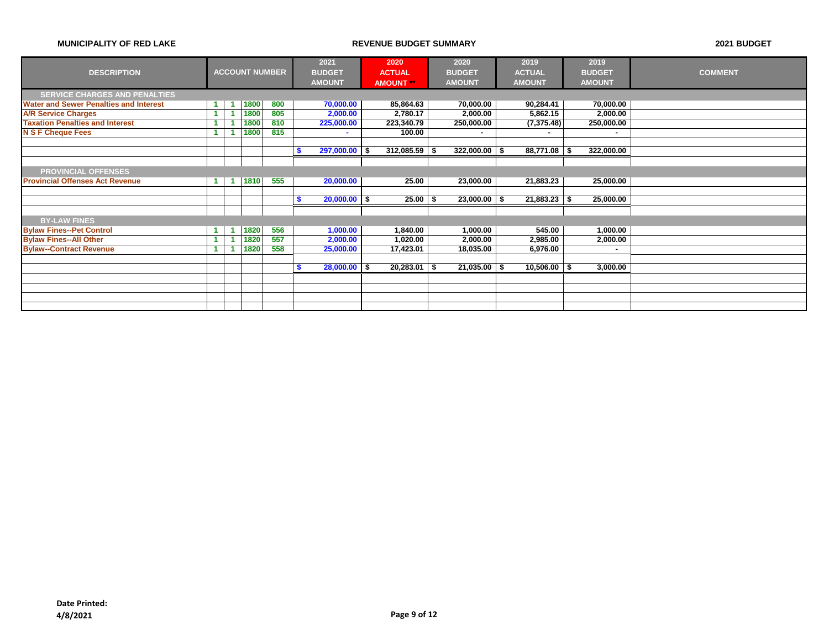|                                               |                      |                      |      |                       |   | 2021            | 2020             | 2020             | 2019           | 2019          |                |
|-----------------------------------------------|----------------------|----------------------|------|-----------------------|---|-----------------|------------------|------------------|----------------|---------------|----------------|
| <b>DESCRIPTION</b>                            |                      |                      |      | <b>ACCOUNT NUMBER</b> |   | <b>BUDGET</b>   | <b>ACTUAL</b>    | <b>BUDGET</b>    | <b>ACTUAL</b>  | <b>BUDGET</b> | <b>COMMENT</b> |
|                                               |                      |                      |      |                       |   | <b>AMOUNT</b>   | <b>AMOUNT</b> ** | <b>AMOUNT</b>    | <b>AMOUNT</b>  | <b>AMOUNT</b> |                |
| <b>SERVICE CHARGES AND PENALTIES</b>          |                      |                      |      |                       |   |                 |                  |                  |                |               |                |
| <b>Water and Sewer Penalties and Interest</b> | $\blacktriangleleft$ | и                    | 1800 | 800                   |   | 70,000.00       | 85,864.63        | 70,000.00        | 90,284.41      | 70,000.00     |                |
| <b>A/R Service Charges</b>                    | $\blacktriangleleft$ |                      | 1800 | 805                   |   | 2,000.00        | 2,780.17         | 2,000.00         | 5,862.15       | 2,000.00      |                |
| <b>Taxation Penalties and Interest</b>        |                      |                      | 1800 | 810                   |   | 225,000.00      | 223,340.79       | 250,000.00       | (7,375.48)     | 250,000.00    |                |
| <b>N S F Cheque Fees</b>                      |                      |                      | 1800 | 815                   |   | ۰               | 100.00           |                  | ۰              | ۰             |                |
|                                               |                      |                      |      |                       |   |                 |                  |                  |                |               |                |
|                                               |                      |                      |      |                       |   | $297,000.00$ \$ | $312,085.59$ \$  | $322,000.00$ \$  | $88,771.08$ \$ | 322,000.00    |                |
|                                               |                      |                      |      |                       |   |                 |                  |                  |                |               |                |
| <b>PROVINCIAL OFFENSES</b>                    |                      |                      |      |                       |   |                 |                  |                  |                |               |                |
| <b>Provincial Offenses Act Revenue</b>        | $\blacktriangleleft$ | $\blacktriangleleft$ | 1810 | 555                   |   | 20,000.00       | 25.00            | 23,000.00        | 21,883.23      | 25,000.00     |                |
|                                               |                      |                      |      |                       |   |                 |                  |                  |                |               |                |
|                                               |                      |                      |      |                       | S | $20,000.00$ \$  | $25.00$ \$       | $23,000.00$ \ \$ | $21,883.23$ \$ | 25,000.00     |                |
|                                               |                      |                      |      |                       |   |                 |                  |                  |                |               |                |
| <b>BY-LAW FINES</b>                           |                      |                      |      |                       |   |                 |                  |                  |                |               |                |
| <b>Bylaw Fines--Pet Control</b>               | $\blacktriangleleft$ | -1                   | 1820 | 556                   |   | 1,000.00        | 1,840.00         | 1,000.00         | 545.00         | 1,000.00      |                |
| <b>Bylaw Fines--All Other</b>                 | $\blacktriangleleft$ |                      | 1820 | 557                   |   | 2,000.00        | 1,020.00         | 2,000.00         | 2,985.00       | 2,000.00      |                |
| <b>Bylaw--Contract Revenue</b>                | $\blacktriangleleft$ |                      | 1820 | 558                   |   | 25,000.00       | 17,423.01        | 18,035.00        | 6,976.00       | ۰             |                |
|                                               |                      |                      |      |                       |   |                 |                  |                  |                |               |                |
|                                               |                      |                      |      |                       |   | $28,000.00$ \$  | $20,283.01$ \ \$ | $21,035.00$ \ \$ | $10,506.00$ \$ | 3,000.00      |                |
|                                               |                      |                      |      |                       |   |                 |                  |                  |                |               |                |
|                                               |                      |                      |      |                       |   |                 |                  |                  |                |               |                |
|                                               |                      |                      |      |                       |   |                 |                  |                  |                |               |                |
|                                               |                      |                      |      |                       |   |                 |                  |                  |                |               |                |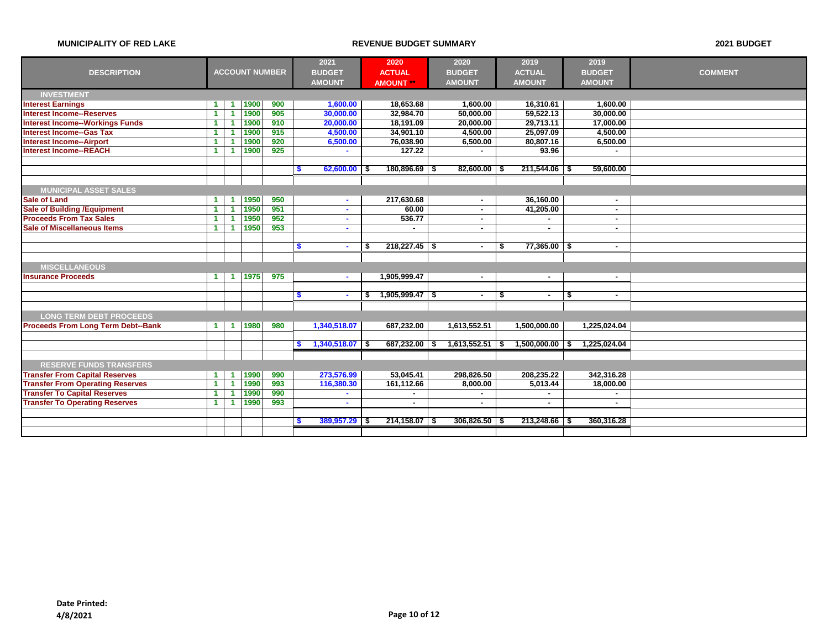|                                           |                      |                      |      |                       | 2021          |                   | 2020                   | 2020          |        | 2019                 | 2019                    |                          |                |
|-------------------------------------------|----------------------|----------------------|------|-----------------------|---------------|-------------------|------------------------|---------------|--------|----------------------|-------------------------|--------------------------|----------------|
| <b>DESCRIPTION</b>                        |                      |                      |      | <b>ACCOUNT NUMBER</b> | <b>BUDGET</b> |                   | <b>ACTUAL</b>          | <b>BUDGET</b> |        | <b>ACTUAL</b>        | <b>BUDGET</b>           |                          | <b>COMMENT</b> |
|                                           |                      |                      |      |                       | <b>AMOUNT</b> |                   | <b>AMOUNT</b>          | <b>AMOUNT</b> |        | <b>AMOUNT</b>        | <b>AMOUNT</b>           |                          |                |
| <b>INVESTMENT</b>                         |                      |                      |      |                       |               |                   |                        |               |        |                      |                         |                          |                |
| <b>Interest Earnings</b>                  | $\blacktriangleleft$ | - 1                  | 1900 | 900                   |               | 1,600.00          | 18,653.68              | 1,600.00      |        | 16,310.61            |                         | 1,600.00                 |                |
| <b>Interest Income--Reserves</b>          | 1                    |                      | 1900 | 905                   |               | 30,000.00         | 32,984.70              | 50,000.00     |        | 59,522.13            |                         | 30,000.00                |                |
| <b>Interest Income--Workings Funds</b>    | 1                    |                      | 1900 | 910                   |               | 20,000.00         | 18,191.09              | 20,000.00     |        | 29,713.11            |                         | 17,000.00                |                |
| <b>Interest Income--Gas Tax</b>           | 1                    |                      | 1900 | 915                   |               | 4,500.00          | 34,901.10              | 4,500.00      |        | 25,097.09            |                         | 4,500.00                 |                |
| <b>Interest Income--Airport</b>           | 1                    |                      | 1900 | 920                   |               | 6,500.00          | 76,038.90              | 6,500.00      |        | 80,807.16            |                         | 6,500.00                 |                |
| <b>Interest Income--REACH</b>             | $\mathbf{1}$         |                      | 1900 | 925                   |               | $\sim$            | 127.22                 |               |        | 93.96                |                         |                          |                |
|                                           |                      |                      |      |                       |               |                   |                        |               |        |                      |                         |                          |                |
|                                           |                      |                      |      |                       | -S            | $62,600.00$ \$    | $180,896.69$ \$        | 82,600.00     |        | 211,544.06 \$        |                         | 59,600.00                |                |
|                                           |                      |                      |      |                       |               |                   |                        |               |        |                      |                         |                          |                |
| <b>MUNICIPAL ASSET SALES</b>              |                      |                      |      |                       |               |                   |                        |               |        |                      |                         |                          |                |
| <b>Sale of Land</b>                       | 1                    |                      | 1950 | 950                   |               | $\sim$            | 217,630.68             |               | $\sim$ | 36,160.00            |                         | ۰.                       |                |
| <b>Sale of Building / Equipment</b>       | $\blacktriangleleft$ |                      | 1950 | 951                   |               | $\sim$            | 60.00                  |               | $\sim$ | 41,205.00            |                         | $\sim$                   |                |
| <b>Proceeds From Tax Sales</b>            | 1                    |                      | 1950 | 952                   |               | $\sim$            | 536.77                 |               | $\sim$ |                      |                         | $\overline{\phantom{a}}$ |                |
| <b>Sale of Miscellaneous Items</b>        | $\mathbf 1$          | -1                   | 1950 | 953                   |               | ٠                 |                        |               | ۰      | $\blacksquare$       |                         | $\sim$                   |                |
|                                           |                      |                      |      |                       |               |                   |                        |               |        |                      |                         |                          |                |
|                                           |                      |                      |      |                       | \$            | $\sim$            | \$<br>$218,227.45$ \$  |               | $\sim$ | $77,365.00$ \$<br>-S |                         | $\sim$                   |                |
|                                           |                      |                      |      |                       |               |                   |                        |               |        |                      |                         |                          |                |
| <b>MISCELLANEOUS</b>                      |                      |                      |      |                       |               |                   |                        |               |        |                      |                         |                          |                |
| <b>Insurance Proceeds</b>                 | $\mathbf 1$          | $\blacktriangleleft$ | 1975 | 975                   |               | $\sim$            | 1,905,999.47           |               | $\sim$ | $\sim$               |                         | $\sim$                   |                |
|                                           |                      |                      |      |                       |               |                   |                        |               |        |                      |                         |                          |                |
|                                           |                      |                      |      |                       | -S            | $\sim$            | $$1,905,999.47$ \ \ \$ |               | $\sim$ | \$<br>$\blacksquare$ | $\overline{\mathbf{s}}$ | $\sim$                   |                |
|                                           |                      |                      |      |                       |               |                   |                        |               |        |                      |                         |                          |                |
| <b>LONG TERM DEBT PROCEEDS</b>            |                      |                      |      |                       |               |                   |                        |               |        |                      |                         |                          |                |
| <b>Proceeds From Long Term Debt--Bank</b> | $\blacktriangleleft$ | $\blacktriangleleft$ | 1980 | 980                   |               | 1,340,518.07      | 687,232.00             | 1,613,552.51  |        | 1,500,000.00         | 1,225,024.04            |                          |                |
|                                           |                      |                      |      |                       |               |                   |                        |               |        |                      |                         |                          |                |
|                                           |                      |                      |      |                       | S             | $1,340,518.07$ \$ | 687,232.00             | 1,613,552.51  |        | $1,500,000.00$ \$    | 1,225,024.04            |                          |                |
|                                           |                      |                      |      |                       |               |                   |                        |               |        |                      |                         |                          |                |
| <b>RESERVE FUNDS TRANSFERS</b>            |                      |                      |      |                       |               |                   |                        |               |        |                      |                         |                          |                |
| <b>Transfer From Capital Reserves</b>     | 1                    | -1                   | 1990 | 990                   |               | 273,576.99        | 53,045.41              | 298,826.50    |        | 208,235.22           | 342,316.28              |                          |                |
| <b>Transfer From Operating Reserves</b>   | 1                    |                      | 1990 | 993                   |               | 116,380.30        | 161,112.66             | 8,000.00      |        | 5,013.44             |                         | 18,000.00                |                |
| <b>Transfer To Capital Reserves</b>       | 1                    |                      | 1990 | 990                   |               | $\sim$            |                        |               |        | $\blacksquare$       |                         |                          |                |
| <b>Transfer To Operating Reserves</b>     | $\blacktriangleleft$ |                      | 1990 | 993                   |               | ٠                 |                        |               | ٠      | ٠                    |                         | $\sim$                   |                |
|                                           |                      |                      |      |                       |               |                   |                        |               |        |                      |                         |                          |                |
|                                           |                      |                      |      |                       | \$            | $389,957.29$ \$   | $214,158.07$ \$        | 306,826.50    |        | 213,248.66 \$        | 360,316.28              |                          |                |
|                                           |                      |                      |      |                       |               |                   |                        |               |        |                      |                         |                          |                |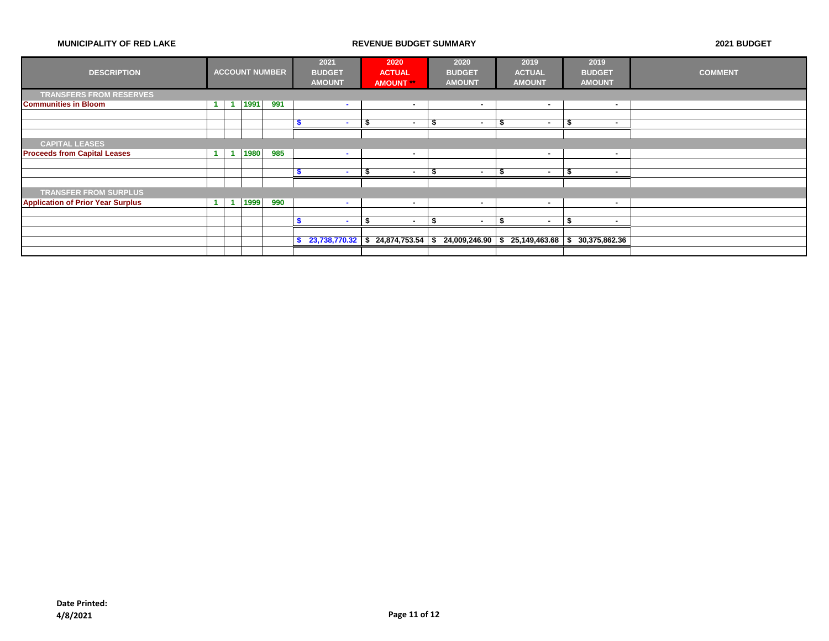| <b>DESCRIPTION</b>                       |  |      | <b>ACCOUNT NUMBER</b> |    | 2021<br><b>BUDGET</b><br><b>AMOUNT</b> |    | 2020<br><b>ACTUAL</b><br><b>AMOUNT</b> | 2020<br><b>BUDGET</b><br><b>AMOUNT</b>                                              |   | 2019<br><b>ACTUAL</b><br><b>AMOUNT</b> |   | 2019<br><b>BUDGET</b><br><b>AMOUNT</b> | <b>COMMENT</b> |
|------------------------------------------|--|------|-----------------------|----|----------------------------------------|----|----------------------------------------|-------------------------------------------------------------------------------------|---|----------------------------------------|---|----------------------------------------|----------------|
| <b>TRANSFERS FROM RESERVES</b>           |  |      |                       |    |                                        |    |                                        |                                                                                     |   |                                        |   |                                        |                |
| <b>Communities in Bloom</b>              |  | 1991 | 991                   |    | <b>COL</b>                             |    | ٠                                      | ۰                                                                                   |   | $\sim$                                 |   |                                        |                |
|                                          |  |      |                       |    |                                        |    |                                        |                                                                                     |   |                                        |   |                                        |                |
|                                          |  |      |                       |    | $\overline{\phantom{a}}$               | ъ  | $\overline{\phantom{a}}$               | . —                                                                                 |   | $\sim$                                 | а | . —                                    |                |
|                                          |  |      |                       |    |                                        |    |                                        |                                                                                     |   |                                        |   |                                        |                |
| <b>CAPITAL LEASES</b>                    |  |      |                       |    |                                        |    |                                        |                                                                                     |   |                                        |   |                                        |                |
| <b>Proceeds from Capital Leases</b>      |  | 1980 | 985                   |    | <b>COL</b>                             |    | $\sim$                                 |                                                                                     |   | $\blacksquare$                         |   | $\overline{\phantom{a}}$               |                |
|                                          |  |      |                       |    |                                        |    |                                        |                                                                                     |   |                                        |   |                                        |                |
|                                          |  |      |                       |    |                                        | л  |                                        | ۰                                                                                   |   |                                        | л |                                        |                |
|                                          |  |      |                       |    |                                        |    |                                        |                                                                                     |   |                                        |   |                                        |                |
| <b>TRANSFER FROM SURPLUS</b>             |  |      |                       |    |                                        |    |                                        |                                                                                     |   |                                        |   |                                        |                |
| <b>Application of Prior Year Surplus</b> |  | 1999 | 990                   |    | <b>COL</b>                             |    | $\sim$                                 | ٠                                                                                   |   | $\sim$                                 |   |                                        |                |
|                                          |  |      |                       |    |                                        |    |                                        |                                                                                     |   |                                        |   |                                        |                |
|                                          |  |      |                       |    | $\overline{\phantom{a}}$               | \$ | $\sim$                                 | - \$<br>. .                                                                         | в | $\sim$                                 | £ |                                        |                |
|                                          |  |      |                       |    |                                        |    |                                        |                                                                                     |   |                                        |   |                                        |                |
|                                          |  |      |                       | s. |                                        |    |                                        | $23,738,770.32$ \$ 24,874,753.54 \$ 24,009,246.90 \$ 25,149,463.68 \$ 30,375,862.36 |   |                                        |   |                                        |                |
|                                          |  |      |                       |    |                                        |    |                                        |                                                                                     |   |                                        |   |                                        |                |